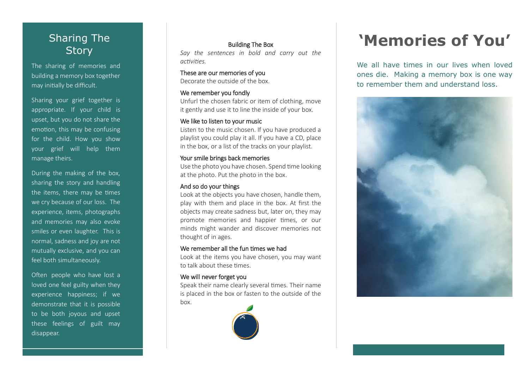# Sharing The **Story**

The sharing of memories and building a memory box together may initially be difficult.

Sharing your grief together is appropriate. If your child is upset, but you do not share the emotion, this may be confusing for the child. How you show your grief will help them manage theirs.

During the making of the box, sharing the story and handling the items, there may be times we cry because of our loss. The experience, items, photographs and memories may also evoke smiles or even laughter. This is normal, sadness and joy are not mutually exclusive, and you can feel both simultaneously.

Often people who have lost a loved one feel guilty when they experience happiness; if we demonstrate that it is possible to be both joyous and upset these feelings of guilt may disappear.

## Building The Box

*Say the sentences in bold and carry out the activities.*

These are our memories of you Decorate the outside of the box.

### We remember you fondly

Unfurl the chosen fabric or item of clothing, move it gently and use it to line the inside of your box.

## We like to listen to your music

Listen to the music chosen. If you have produced a playlist you could play it all. If you have a CD, place in the box, or a list of the tracks on your playlist.

## Your smile brings back memories

Use the photo you have chosen. Spend time looking at the photo. Put the photo in the box.

#### And so do your things

Look at the objects you have chosen, handle them, play with them and place in the box. At first the objects may create sadness but, later on, they may promote memories and happier times, or our minds might wander and discover memories not thought of in ages.

#### We remember all the fun times we had

Look at the items you have chosen, you may want to talk about these times.

#### We will never forget you

Speak their name clearly several times. Their name is placed in the box or fasten to the outside of the box.



# **'Memories of You'**

We all have times in our lives when loved ones die. Making a memory box is one way to remember them and understand loss.